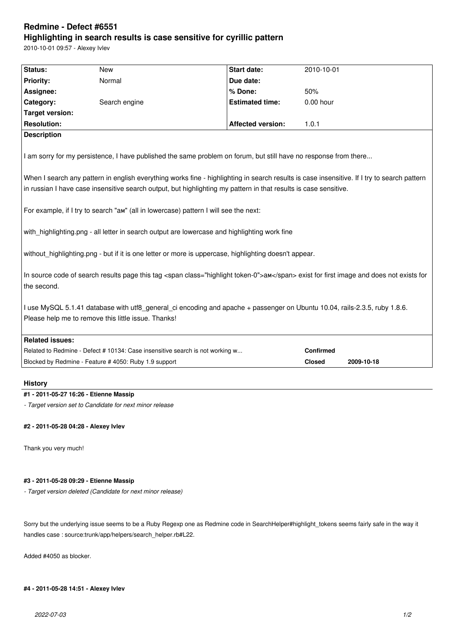# **Redmine - Defect #6551 Highlighting in search results is case sensitive for cyrillic pattern**

2010-10-01 09:57 - Alexey Ivlev

| Status:                | <b>New</b>                                                                           | <b>Start date:</b>                                                                                               | 2010-10-01                                                                                                                                  |
|------------------------|--------------------------------------------------------------------------------------|------------------------------------------------------------------------------------------------------------------|---------------------------------------------------------------------------------------------------------------------------------------------|
| <b>Priority:</b>       | Normal                                                                               | Due date:                                                                                                        |                                                                                                                                             |
| Assignee:              |                                                                                      | % Done:                                                                                                          | 50%                                                                                                                                         |
| Category:              | Search engine                                                                        | <b>Estimated time:</b>                                                                                           | 0.00 hour                                                                                                                                   |
| <b>Target version:</b> |                                                                                      |                                                                                                                  |                                                                                                                                             |
| <b>Resolution:</b>     |                                                                                      | <b>Affected version:</b>                                                                                         | 1.0.1                                                                                                                                       |
| <b>Description</b>     |                                                                                      |                                                                                                                  |                                                                                                                                             |
|                        |                                                                                      | I am sorry for my persistence, I have published the same problem on forum, but still have no response from there | When I search any pattern in english everything works fine - highlighting in search results is case insensitive. If I try to search pattern |
|                        |                                                                                      | in russian I have case insensitive search output, but highlighting my pattern in that results is case sensitive. |                                                                                                                                             |
|                        |                                                                                      |                                                                                                                  |                                                                                                                                             |
|                        | For example, if I try to search "am" (all in lowercase) pattern I will see the next: |                                                                                                                  |                                                                                                                                             |
|                        |                                                                                      | with_highlighting.png - all letter in search output are lowercase and highlighting work fine                     |                                                                                                                                             |
|                        |                                                                                      | without_highlighting.png - but if it is one letter or more is uppercase, highlighting doesn't appear.            |                                                                                                                                             |
| the second.            |                                                                                      |                                                                                                                  | In source code of search results page this tag <span class="highlight token-0">am</span> exist for first image and does not exists for      |
|                        | Please help me to remove this little issue. Thanks!                                  |                                                                                                                  | I use MySQL 5.1.41 database with utf8 general ci encoding and apache + passenger on Ubuntu 10.04, rails-2.3.5, ruby 1.8.6.                  |
| <b>Related issues:</b> |                                                                                      |                                                                                                                  |                                                                                                                                             |
|                        | Related to Redmine - Defect # 10134: Case insensitive search is not working w        |                                                                                                                  | Confirmed                                                                                                                                   |
|                        | Blocked by Redmine - Feature # 4050: Ruby 1.9 support                                |                                                                                                                  | <b>Closed</b><br>2009-10-18                                                                                                                 |
| <b>History</b>         |                                                                                      |                                                                                                                  |                                                                                                                                             |

### **#1 - 2011-05-27 16:26 - Etienne Massip**

*- Target version set to Candidate for next minor release*

### **#2 - 2011-05-28 04:28 - Alexey Ivlev**

Thank you very much!

### **#3 - 2011-05-28 09:29 - Etienne Massip**

*- Target version deleted (Candidate for next minor release)*

Sorry but the underlying issue seems to be a Ruby Regexp one as Redmine code in SearchHelper#highlight\_tokens seems fairly safe in the way it handles case : source:trunk/app/helpers/search\_helper.rb#L22.

Added #4050 as blocker.

## **#4 - 2011-05-28 14:51 - Alexey Ivlev**